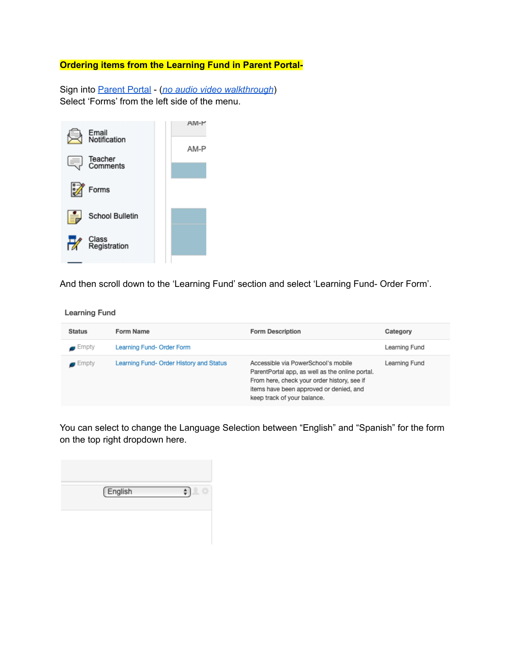## **Ordering items from the Learning Fund in Parent Portal-**

Sign into [Parent](https://epiccharterschools.powerschool.com/public/home.html) Portal - (*no audio video [walkthrough](https://drive.google.com/file/d/1ksb-G__VVuO49JKFBVyeuEE6ZYlynvE3/view?usp=sharing)*) Select 'Forms' from the left side of the menu.



And then scroll down to the 'Learning Fund' section and select 'Learning Fund- Order Form'.

**Learning Fund** 

| <b>Status</b>        | Form Name                               | <b>Form Description</b>                                                                                                                                                                                         | Category      |
|----------------------|-----------------------------------------|-----------------------------------------------------------------------------------------------------------------------------------------------------------------------------------------------------------------|---------------|
| $\blacksquare$ Empty | Learning Fund- Order Form               |                                                                                                                                                                                                                 | Learning Fund |
| $\blacksquare$ Empty | Learning Fund- Order History and Status | Accessible via PowerSchool's mobile<br>ParentPortal app, as well as the online portal.<br>From here, check your order history, see if<br>items have been approved or denied, and<br>keep track of your balance. | Learning Fund |

You can select to change the Language Selection between "English" and "Spanish" for the form on the top right dropdown here.

| English |  |
|---------|--|
|         |  |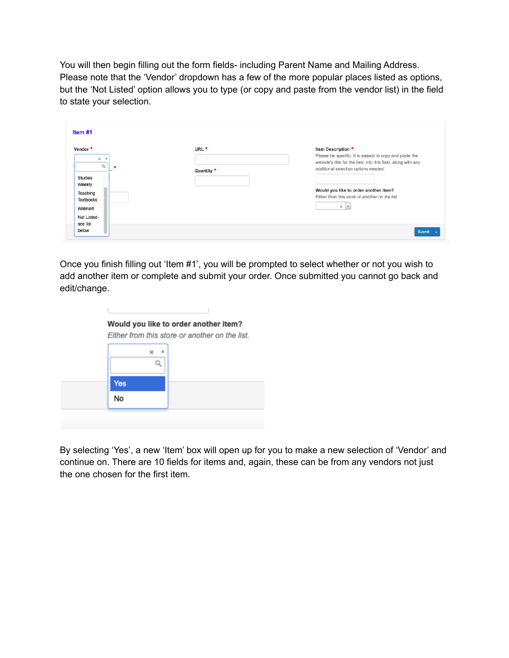You will then begin filling out the form fields- including Parent Name and Mailing Address. Please note that the 'Vendor' dropdown has a few of the more popular places listed as options, but the 'Not Listed' option allows you to type (or copy and paste from the vendor list) in the field to state your selection.

| URL <sup>*</sup> |                                                                               |
|------------------|-------------------------------------------------------------------------------|
|                  | Item Description *<br>Please be specific. It is easiest to copy and paste the |
|                  | website's title for the item into this field, along with any                  |
|                  | additional selection options needed.                                          |
|                  |                                                                               |
|                  |                                                                               |
|                  | Would you like to order another item?                                         |
|                  | Either from this store or another on the list.                                |
|                  | $\times$   $\times$                                                           |
|                  |                                                                               |
|                  | Quantity *                                                                    |

Once you finish filling out 'Item #1', you will be prompted to select whether or not you wish to add another item or complete and submit your order. Once submitted you cannot go back and edit/change.

|            |  | Either from this store or another on the list. |
|------------|--|------------------------------------------------|
|            |  |                                                |
|            |  |                                                |
| <b>Yes</b> |  |                                                |
| No         |  |                                                |

By selecting 'Yes', a new 'Item' box will open up for you to make a new selection of 'Vendor' and continue on. There are 10 fields for items and, again, these can be from any vendors not just the one chosen for the first item.